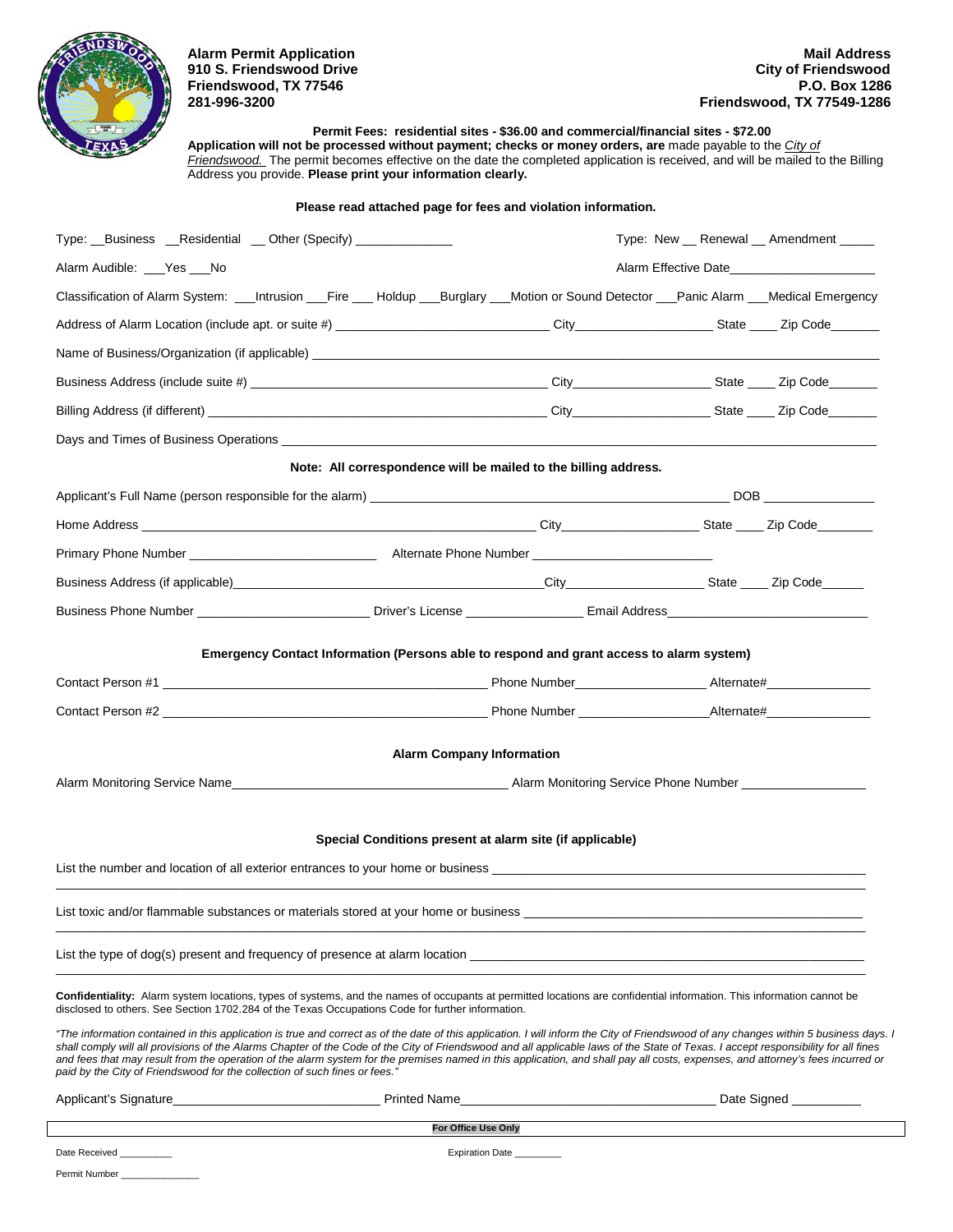

Permit Number \_\_\_\_\_\_

**Friendswood, TX 77546<br>281-996-3200** 

**Permit Fees: residential sites - \$36.00 and commercial/financial sites - \$72.00**

**Application will not be processed without payment; checks or money orders, are** made payable to the *City of Friendswood.* The permit becomes effective on the date the completed application is received, and will be mailed to the Billing Address you provide. **Please print your information clearly.** 

### **Please read attached page for fees and violation information***.*

| Type: Business Residential Dther (Specify)                                                                                                                                                                                                                                                                                                                                                                                                                                                                                                                                                                                                  |                                                                 |  | Type: New __ Renewal __ Amendment _____ |
|---------------------------------------------------------------------------------------------------------------------------------------------------------------------------------------------------------------------------------------------------------------------------------------------------------------------------------------------------------------------------------------------------------------------------------------------------------------------------------------------------------------------------------------------------------------------------------------------------------------------------------------------|-----------------------------------------------------------------|--|-----------------------------------------|
| Alarm Audible: ___Yes ___No                                                                                                                                                                                                                                                                                                                                                                                                                                                                                                                                                                                                                 | Alarm Effective Date                                            |  |                                         |
| Classification of Alarm System: __Intrusion __Fire ___ Holdup ___Burglary ___Motion or Sound Detector ___Panic Alarm ___Medical Emergency                                                                                                                                                                                                                                                                                                                                                                                                                                                                                                   |                                                                 |  |                                         |
|                                                                                                                                                                                                                                                                                                                                                                                                                                                                                                                                                                                                                                             |                                                                 |  |                                         |
|                                                                                                                                                                                                                                                                                                                                                                                                                                                                                                                                                                                                                                             |                                                                 |  |                                         |
|                                                                                                                                                                                                                                                                                                                                                                                                                                                                                                                                                                                                                                             |                                                                 |  |                                         |
|                                                                                                                                                                                                                                                                                                                                                                                                                                                                                                                                                                                                                                             |                                                                 |  |                                         |
|                                                                                                                                                                                                                                                                                                                                                                                                                                                                                                                                                                                                                                             |                                                                 |  |                                         |
|                                                                                                                                                                                                                                                                                                                                                                                                                                                                                                                                                                                                                                             | Note: All correspondence will be mailed to the billing address. |  |                                         |
|                                                                                                                                                                                                                                                                                                                                                                                                                                                                                                                                                                                                                                             |                                                                 |  |                                         |
|                                                                                                                                                                                                                                                                                                                                                                                                                                                                                                                                                                                                                                             |                                                                 |  |                                         |
|                                                                                                                                                                                                                                                                                                                                                                                                                                                                                                                                                                                                                                             |                                                                 |  |                                         |
|                                                                                                                                                                                                                                                                                                                                                                                                                                                                                                                                                                                                                                             |                                                                 |  |                                         |
|                                                                                                                                                                                                                                                                                                                                                                                                                                                                                                                                                                                                                                             |                                                                 |  |                                         |
|                                                                                                                                                                                                                                                                                                                                                                                                                                                                                                                                                                                                                                             |                                                                 |  |                                         |
|                                                                                                                                                                                                                                                                                                                                                                                                                                                                                                                                                                                                                                             |                                                                 |  |                                         |
|                                                                                                                                                                                                                                                                                                                                                                                                                                                                                                                                                                                                                                             |                                                                 |  |                                         |
|                                                                                                                                                                                                                                                                                                                                                                                                                                                                                                                                                                                                                                             | <b>Alarm Company Information</b>                                |  |                                         |
|                                                                                                                                                                                                                                                                                                                                                                                                                                                                                                                                                                                                                                             |                                                                 |  |                                         |
|                                                                                                                                                                                                                                                                                                                                                                                                                                                                                                                                                                                                                                             |                                                                 |  |                                         |
|                                                                                                                                                                                                                                                                                                                                                                                                                                                                                                                                                                                                                                             | Special Conditions present at alarm site (if applicable)        |  |                                         |
| List the number and location of all exterior entrances to your home or business                                                                                                                                                                                                                                                                                                                                                                                                                                                                                                                                                             |                                                                 |  |                                         |
|                                                                                                                                                                                                                                                                                                                                                                                                                                                                                                                                                                                                                                             |                                                                 |  |                                         |
| List the type of dog(s) present and frequency of presence at alarm location                                                                                                                                                                                                                                                                                                                                                                                                                                                                                                                                                                 |                                                                 |  |                                         |
| Confidentiality: Alarm system locations, types of systems, and the names of occupants at permitted locations are confidential information. This information cannot be<br>disclosed to others. See Section 1702.284 of the Texas Occupations Code for further information.                                                                                                                                                                                                                                                                                                                                                                   |                                                                 |  |                                         |
| "The information contained in this application is true and correct as of the date of this application. I will inform the City of Friendswood of any changes within 5 business days. I<br>shall comply will all provisions of the Alarms Chapter of the Code of the City of Friendswood and all applicable laws of the State of Texas. I accept responsibility for all fines<br>and fees that may result from the operation of the alarm system for the premises named in this application, and shall pay all costs, expenses, and attorney's fees incurred or<br>paid by the City of Friendswood for the collection of such fines or fees." |                                                                 |  |                                         |
|                                                                                                                                                                                                                                                                                                                                                                                                                                                                                                                                                                                                                                             |                                                                 |  |                                         |
|                                                                                                                                                                                                                                                                                                                                                                                                                                                                                                                                                                                                                                             | For Office Use Only                                             |  |                                         |
| Date Received                                                                                                                                                                                                                                                                                                                                                                                                                                                                                                                                                                                                                               | Expiration Date ______                                          |  |                                         |